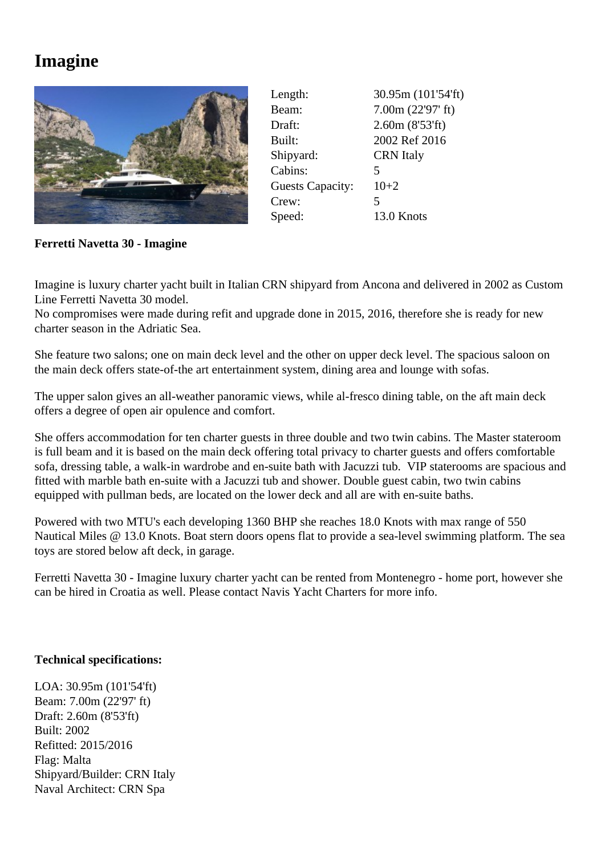## **Imagine**



| Length:                 | 30.95m (101'54'ft) |
|-------------------------|--------------------|
| Beam:                   | 7.00m (22'97' ft)  |
| Draft:                  | 2.60m (8'53'ft)    |
| Built:                  | 2002 Ref 2016      |
| Shipyard:               | <b>CRN</b> Italy   |
| Cabins:                 | 5                  |
| <b>Guests Capacity:</b> | $10+2$             |
| Crew:                   | 5                  |
| Speed:                  | 13.0 Knots         |

**Ferretti Navetta 30 - Imagine**

Imagine is luxury charter yacht built in Italian CRN shipyard from Ancona and delivered in 2002 as Custom Line Ferretti Navetta 30 model

No compromises were made during refit and upgrade done in 2015, 2016, therefore she is ready for new charter season in the Adriatic Sea.

She feature two salons; one on main deck level and the other on upper deck level. The spacious saloon on the main deck offers state-of-the art entertainment system, dining area and lounge with sofas.

The upper salon gives an all-weather panoramic views, while al-fresco dining table, on the aft main deck offers a degree of open air opulence and comfort.

She offers accommodation for ten charter guests in three double and two twin cabins. The Master stateroom is full beam and it is based on the main deck offering total privacy to charter guests and offers comfortable sofa, dressing table, a walk-in wardrobe and en-suite bath with Jacuzzi tub. VIP staterooms are spacious and fitted with marble bath en-suite with a Jacuzzi tub and shower. Double guest cabin, two twin cabins equipped with pullman beds, are located on the lower deck and all are with en-suite baths.

Powered with two MTU's each developing 1360 BHP she reaches 18.0 Knots with max range of 550 Nautical Miles @ 13.0 Knots. Boat stern doors opens flat to provide a sea-level swimming platform. The sea toys are stored below aft deck, in garage.

Ferretti Navetta 30 - Imagine luxury charter yacht can be rented from Montenegro - home port, however she can be hired in Croatia as well. Please contact Navis Yacht Charters for more info.

## **Technical specifications:**

LOA: 30.95m (101'54'ft) Beam: 7.00m (22'97' ft) Draft: 2.60m (8'53'ft) Built: 2002 Refitted: 2015/2016 Flag: Malta Shipyard/Builder: CRN Italy Naval Architect: CRN Spa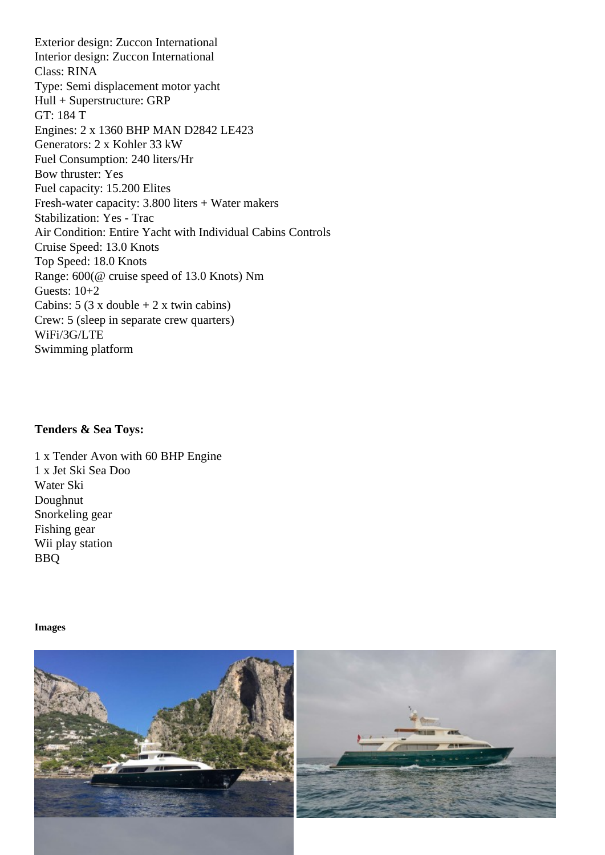Interior design: Zuccon International Class: RINA Type: Semi displacement motor yacht Hull + Superstructure: GRP GT: 184 T Engines: 2 x 1360 BHP MAN D2842 LE423 Generators: 2 x Kohler 33 kW Fuel Consumption: 240 liters/Hr Bow thruster: Yes Fuel capacity: 15.200 Elites Fresh-water capacity: 3.800 liters + Water makers Stabilization: Yes - Trac Air Condition: Entire Yacht with Individual Cabins Controls Cruise Speed: 13.0 Knots Top Speed: 18.0 Knots Range: 600(@ cruise speed of 13.0 Knots) Nm Guests: 10+2 Cabins:  $5$  (3 x double  $+ 2$  x twin cabins) Crew: 5 (sleep in separate crew quarters) WiFi/3G/LTE Swimming platform

Tenders & Sea Toys:

1 x Tender Avon with 60 BHP Engine 1 x Jet Ski Sea Doo Water Ski Doughnut Snorkeling gear Fishing gear Wii play station BBQ

Images